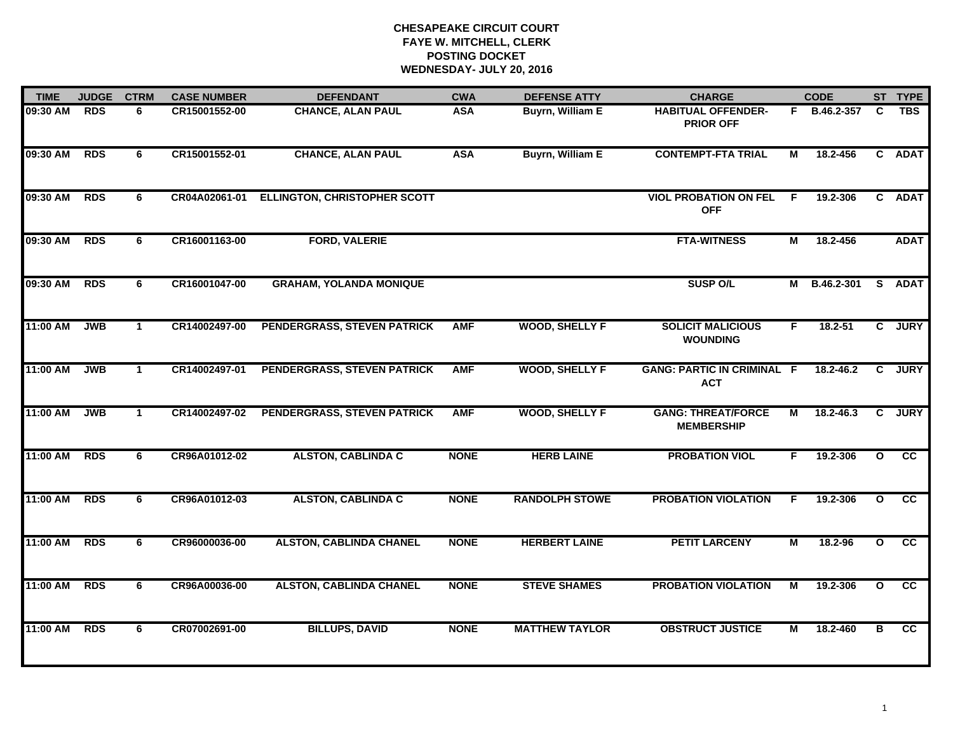| <b>JUDGE</b><br><b>TIME</b> |            | <b>CTRM</b>  | <b>CASE NUMBER</b> | <b>DEFENDANT</b>                    | <b>CWA</b>  | <b>DEFENSE ATTY</b>     | <b>CHARGE</b>                                   | <b>CODE</b> |               |              | ST TYPE     |
|-----------------------------|------------|--------------|--------------------|-------------------------------------|-------------|-------------------------|-------------------------------------------------|-------------|---------------|--------------|-------------|
| 09:30 AM                    | <b>RDS</b> | 6            | CR15001552-00      | <b>CHANCE, ALAN PAUL</b>            | <b>ASA</b>  | Buyrn, William E        | <b>HABITUAL OFFENDER-</b><br><b>PRIOR OFF</b>   |             | F B.46.2-357  | C.           | <b>TBS</b>  |
| 09:30 AM                    | <b>RDS</b> | 6            | CR15001552-01      | <b>CHANCE, ALAN PAUL</b>            | <b>ASA</b>  | <b>Buyrn, William E</b> | <b>CONTEMPT-FTA TRIAL</b>                       | М           | 18.2-456      |              | C ADAT      |
| 09:30 AM                    | <b>RDS</b> | 6            | CR04A02061-01      | <b>ELLINGTON, CHRISTOPHER SCOTT</b> |             |                         | <b>VIOL PROBATION ON FEL</b><br><b>OFF</b>      | F.          | 19.2-306      |              | C ADAT      |
| 09:30 AM                    | <b>RDS</b> | 6            | CR16001163-00      | <b>FORD, VALERIE</b>                |             |                         | <b>FTA-WITNESS</b>                              | М           | 18.2-456      |              | <b>ADAT</b> |
| 09:30 AM                    | <b>RDS</b> | 6            | CR16001047-00      | <b>GRAHAM, YOLANDA MONIQUE</b>      |             |                         | <b>SUSP O/L</b>                                 | М           | B.46.2-301    |              | S ADAT      |
| 11:00 AM                    | <b>JWB</b> | $\mathbf{1}$ | CR14002497-00      | PENDERGRASS, STEVEN PATRICK         | <b>AMF</b>  | <b>WOOD, SHELLY F</b>   | <b>SOLICIT MALICIOUS</b><br><b>WOUNDING</b>     | F.          | $18.2 - 51$   | $\mathbf{c}$ | <b>JURY</b> |
| 11:00 AM                    | <b>JWB</b> | $\mathbf{1}$ | CR14002497-01      | PENDERGRASS, STEVEN PATRICK         | <b>AMF</b>  | <b>WOOD, SHELLY F</b>   | <b>GANG: PARTIC IN CRIMINAL F</b><br><b>ACT</b> |             | $18.2 - 46.2$ | $\mathbf{c}$ | <b>JURY</b> |
| 11:00 AM                    | <b>JWB</b> | $\mathbf{1}$ | CR14002497-02      | PENDERGRASS, STEVEN PATRICK         | <b>AMF</b>  | <b>WOOD, SHELLY F</b>   | <b>GANG: THREAT/FORCE</b><br><b>MEMBERSHIP</b>  | М           | 18.2-46.3     | C.           | <b>JURY</b> |
| 11:00 AM                    | <b>RDS</b> | 6            | CR96A01012-02      | <b>ALSTON, CABLINDA C</b>           | <b>NONE</b> | <b>HERB LAINE</b>       | <b>PROBATION VIOL</b>                           | F.          | 19.2-306      | $\mathbf{o}$ | cc          |
| 11:00 AM                    | <b>RDS</b> | 6            | CR96A01012-03      | <b>ALSTON, CABLINDA C</b>           | <b>NONE</b> | <b>RANDOLPH STOWE</b>   | <b>PROBATION VIOLATION</b>                      | F           | 19.2-306      | $\mathbf{o}$ | cc          |
| 11:00 AM                    | <b>RDS</b> | 6            | CR96000036-00      | <b>ALSTON, CABLINDA CHANEL</b>      | <b>NONE</b> | <b>HERBERT LAINE</b>    | <b>PETIT LARCENY</b>                            | M           | 18.2-96       | $\mathbf{o}$ | cc          |
| 11:00 AM                    | <b>RDS</b> | 6            | CR96A00036-00      | <b>ALSTON, CABLINDA CHANEL</b>      | <b>NONE</b> | <b>STEVE SHAMES</b>     | <b>PROBATION VIOLATION</b>                      | М           | 19.2-306      | $\mathbf{o}$ | cc          |
| 11:00 AM                    | <b>RDS</b> | 6            | CR07002691-00      | <b>BILLUPS, DAVID</b>               | <b>NONE</b> | <b>MATTHEW TAYLOR</b>   | <b>OBSTRUCT JUSTICE</b>                         | M           | 18.2-460      | в            | <b>CC</b>   |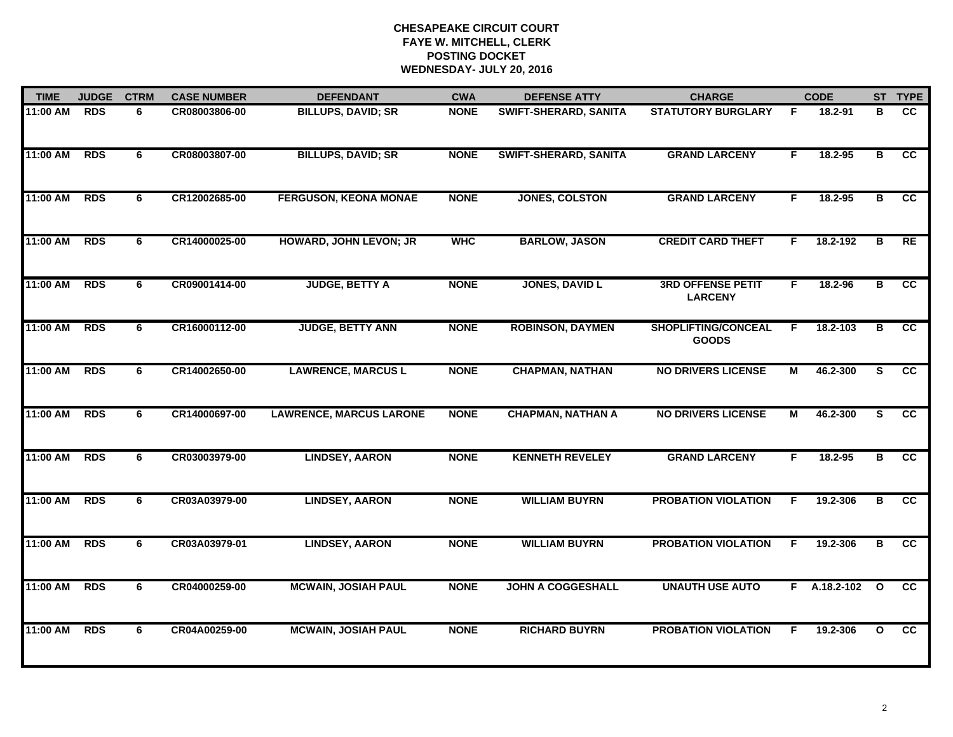| <b>TIME</b> | <b>JUDGE</b> |   | <b>CASE NUMBER</b> | <b>DEFENDANT</b>               | <b>CWA</b>  | <b>DEFENSE ATTY</b>          | <b>CHARGE</b>                              |    | <b>CODE</b>    |                         | ST TYPE         |
|-------------|--------------|---|--------------------|--------------------------------|-------------|------------------------------|--------------------------------------------|----|----------------|-------------------------|-----------------|
| 11:00 AM    | <b>RDS</b>   | 6 | CR08003806-00      | <b>BILLUPS, DAVID; SR</b>      | <b>NONE</b> | SWIFT-SHERARD, SANITA        | <b>STATUTORY BURGLARY</b>                  | F  | 18.2-91        | в                       | cc              |
| 11:00 AM    | <b>RDS</b>   | 6 | CR08003807-00      | <b>BILLUPS, DAVID; SR</b>      | <b>NONE</b> | <b>SWIFT-SHERARD, SANITA</b> | <b>GRAND LARCENY</b>                       | F. | 18.2-95        | в                       | cc              |
| 11:00 AM    | <b>RDS</b>   | 6 | CR12002685-00      | <b>FERGUSON, KEONA MONAE</b>   | <b>NONE</b> | JONES, COLSTON               | <b>GRAND LARCENY</b>                       | F. | 18.2-95        | $\overline{\mathbf{B}}$ | cc              |
| 11:00 AM    | <b>RDS</b>   | 6 | CR14000025-00      | <b>HOWARD, JOHN LEVON; JR</b>  | <b>WHC</b>  | <b>BARLOW, JASON</b>         | <b>CREDIT CARD THEFT</b>                   | F. | 18.2-192       | в                       | RE              |
| 11:00 AM    | <b>RDS</b>   | 6 | CR09001414-00      | <b>JUDGE, BETTY A</b>          | <b>NONE</b> | <b>JONES, DAVID L</b>        | <b>3RD OFFENSE PETIT</b><br><b>LARCENY</b> | F. | 18.2-96        | $\overline{\mathbf{B}}$ | cc              |
| 11:00 AM    | <b>RDS</b>   | 6 | CR16000112-00      | <b>JUDGE, BETTY ANN</b>        | <b>NONE</b> | <b>ROBINSON, DAYMEN</b>      | <b>SHOPLIFTING/CONCEAL</b><br><b>GOODS</b> | F. | 18.2-103       | в                       | <b>CC</b>       |
| 11:00 AM    | <b>RDS</b>   | 6 | CR14002650-00      | <b>LAWRENCE, MARCUS L</b>      | <b>NONE</b> | <b>CHAPMAN, NATHAN</b>       | <b>NO DRIVERS LICENSE</b>                  | М  | 46.2-300       | S.                      | $\overline{cc}$ |
| 11:00 AM    | <b>RDS</b>   | 6 | CR14000697-00      | <b>LAWRENCE, MARCUS LARONE</b> | <b>NONE</b> | <b>CHAPMAN, NATHAN A</b>     | <b>NO DRIVERS LICENSE</b>                  | М  | 46.2-300       | S.                      | cc              |
| 11:00 AM    | <b>RDS</b>   | 6 | CR03003979-00      | <b>LINDSEY, AARON</b>          | <b>NONE</b> | <b>KENNETH REVELEY</b>       | <b>GRAND LARCENY</b>                       | F. | 18.2-95        | в                       | cc              |
| 11:00 AM    | <b>RDS</b>   | 6 | CR03A03979-00      | <b>LINDSEY, AARON</b>          | <b>NONE</b> | <b>WILLIAM BUYRN</b>         | <b>PROBATION VIOLATION</b>                 | F  | 19.2-306       | в                       | cc              |
| 11:00 AM    | <b>RDS</b>   | 6 | CR03A03979-01      | <b>LINDSEY, AARON</b>          | <b>NONE</b> | <b>WILLIAM BUYRN</b>         | <b>PROBATION VIOLATION</b>                 | F  | 19.2-306       | в                       | $\overline{cc}$ |
| 11:00 AM    | <b>RDS</b>   | 6 | CR04000259-00      | <b>MCWAIN, JOSIAH PAUL</b>     | <b>NONE</b> | <b>JOHN A COGGESHALL</b>     | <b>UNAUTH USE AUTO</b>                     |    | $F$ A.18.2-102 | $\mathbf{o}$            | $\overline{cc}$ |
| 11:00 AM    | <b>RDS</b>   | 6 | CR04A00259-00      | <b>MCWAIN, JOSIAH PAUL</b>     | <b>NONE</b> | <b>RICHARD BUYRN</b>         | <b>PROBATION VIOLATION</b>                 | F  | 19.2-306       | $\mathbf{o}$            | cc              |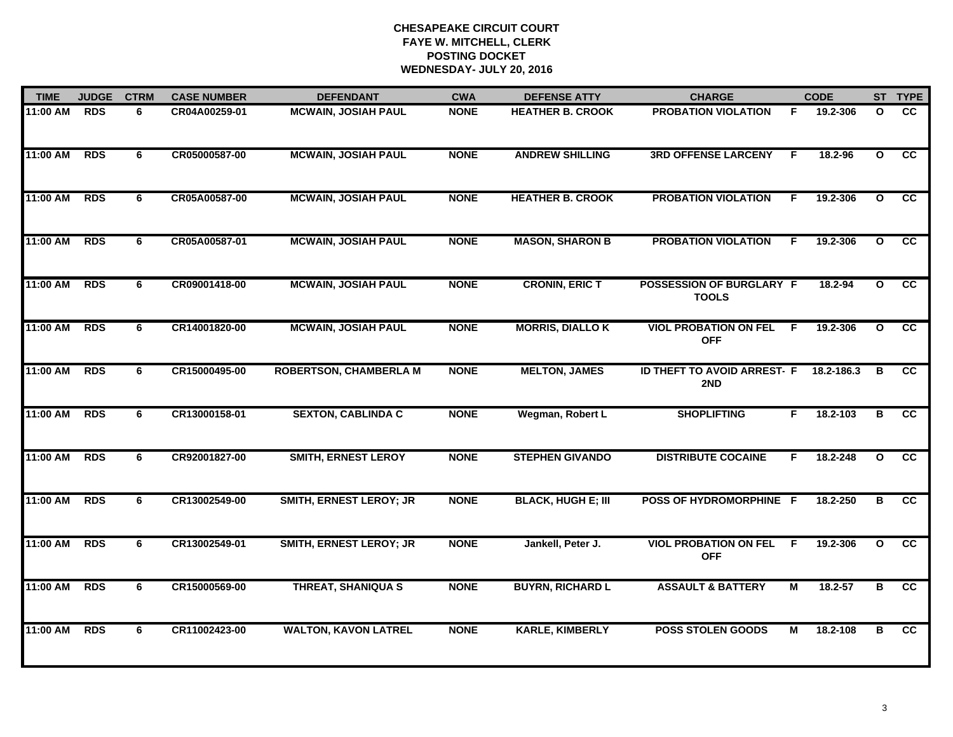| <b>TIME</b> | <b>JUDGE</b> | <b>CTRM</b> | <b>CASE NUMBER</b> | <b>DEFENDANT</b>               | <b>CWA</b>  | <b>DEFENSE ATTY</b>       | <b>CHARGE</b>                              | <b>CODE</b>             |            | ST TYPE                 |                 |
|-------------|--------------|-------------|--------------------|--------------------------------|-------------|---------------------------|--------------------------------------------|-------------------------|------------|-------------------------|-----------------|
| 11:00 AM    | <b>RDS</b>   | 6           | CR04A00259-01      | <b>MCWAIN, JOSIAH PAUL</b>     | <b>NONE</b> | <b>HEATHER B. CROOK</b>   | <b>PROBATION VIOLATION</b>                 | F.                      | 19.2-306   | $\mathbf{o}$            | cc              |
| 11:00 AM    | <b>RDS</b>   | 6           | CR05000587-00      | <b>MCWAIN, JOSIAH PAUL</b>     | <b>NONE</b> | <b>ANDREW SHILLING</b>    | <b>3RD OFFENSE LARCENY</b>                 | F.                      | 18.2-96    | $\mathbf{o}$            | cc              |
| 11:00 AM    | <b>RDS</b>   | 6           | CR05A00587-00      | <b>MCWAIN, JOSIAH PAUL</b>     | <b>NONE</b> | <b>HEATHER B. CROOK</b>   | <b>PROBATION VIOLATION</b>                 | F                       | 19.2-306   | $\overline{\mathbf{o}}$ | cc              |
| 11:00 AM    | <b>RDS</b>   | 6           | CR05A00587-01      | <b>MCWAIN, JOSIAH PAUL</b>     | <b>NONE</b> | <b>MASON, SHARON B</b>    | <b>PROBATION VIOLATION</b>                 | F.                      | 19.2-306   | $\mathbf{o}$            | <b>CC</b>       |
| 11:00 AM    | <b>RDS</b>   | 6           | CR09001418-00      | <b>MCWAIN, JOSIAH PAUL</b>     | <b>NONE</b> | <b>CRONIN, ERIC T</b>     | POSSESSION OF BURGLARY F<br><b>TOOLS</b>   |                         | 18.2-94    | $\mathbf{o}$            | cc              |
| 11:00 AM    | <b>RDS</b>   | 6           | CR14001820-00      | <b>MCWAIN, JOSIAH PAUL</b>     | <b>NONE</b> | <b>MORRIS, DIALLO K</b>   | <b>VIOL PROBATION ON FEL</b><br><b>OFF</b> | F.                      | 19.2-306   | $\mathbf{o}$            | cc              |
| 11:00 AM    | <b>RDS</b>   | 6           | CR15000495-00      | <b>ROBERTSON, CHAMBERLA M</b>  | <b>NONE</b> | <b>MELTON, JAMES</b>      | ID THEFT TO AVOID ARREST- F<br>2ND         |                         | 18.2-186.3 | В                       | <b>CC</b>       |
| 11:00 AM    | <b>RDS</b>   | 6           | CR13000158-01      | <b>SEXTON, CABLINDA C</b>      | <b>NONE</b> | Wegman, Robert L          | <b>SHOPLIFTING</b>                         | F.                      | 18.2-103   | В                       | cc              |
| 11:00 AM    | <b>RDS</b>   | 6           | CR92001827-00      | <b>SMITH, ERNEST LEROY</b>     | <b>NONE</b> | <b>STEPHEN GIVANDO</b>    | <b>DISTRIBUTE COCAINE</b>                  | F.                      | 18.2-248   | $\mathbf{o}$            | $\overline{cc}$ |
| 11:00 AM    | <b>RDS</b>   | 6           | CR13002549-00      | <b>SMITH, ERNEST LEROY; JR</b> | <b>NONE</b> | <b>BLACK, HUGH E; III</b> | POSS OF HYDROMORPHINE F                    |                         | 18.2-250   | в                       | cc              |
| 11:00 AM    | <b>RDS</b>   | 6           | CR13002549-01      | <b>SMITH, ERNEST LEROY; JR</b> | <b>NONE</b> | Jankell, Peter J.         | <b>VIOL PROBATION ON FEL</b><br><b>OFF</b> | -F                      | 19.2-306   | $\mathbf{o}$            | cc              |
| 11:00 AM    | <b>RDS</b>   | 6           | CR15000569-00      | <b>THREAT, SHANIQUA S</b>      | <b>NONE</b> | <b>BUYRN, RICHARD L</b>   | <b>ASSAULT &amp; BATTERY</b>               | $\overline{\mathsf{M}}$ | 18.2-57    | в                       | $\overline{cc}$ |
| 11:00 AM    | <b>RDS</b>   | 6           | CR11002423-00      | <b>WALTON, KAVON LATREL</b>    | <b>NONE</b> | <b>KARLE, KIMBERLY</b>    | <b>POSS STOLEN GOODS</b>                   | М                       | 18.2-108   | в                       | cc              |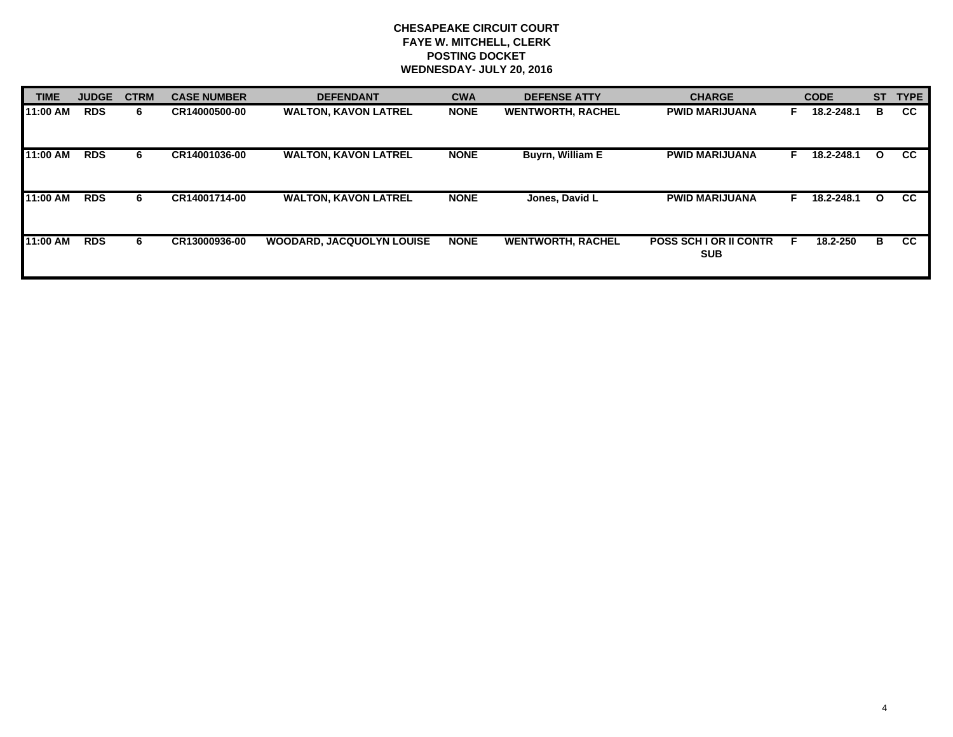| <b>TIME</b> | <b>JUDGE</b> | <b>CTRM</b> | <b>CASE NUMBER</b> | <b>DEFENDANT</b>                 | <b>CWA</b>  | <b>CHARGE</b><br><b>DEFENSE ATTY</b> |                                            | <b>CODE</b> |            | <b>ST</b>    | <b>TYPE</b> |
|-------------|--------------|-------------|--------------------|----------------------------------|-------------|--------------------------------------|--------------------------------------------|-------------|------------|--------------|-------------|
| 11:00 AM    | <b>RDS</b>   | 6.          | CR14000500-00      | <b>WALTON, KAVON LATREL</b>      | <b>NONE</b> | <b>WENTWORTH, RACHEL</b>             | <b>PWID MARIJUANA</b>                      |             | 18.2-248.1 | в            | <b>CC</b>   |
| 11:00 AM    | <b>RDS</b>   | 6           | CR14001036-00      | <b>WALTON, KAVON LATREL</b>      | <b>NONE</b> | <b>Buyrn, William E</b>              | <b>PWID MARIJUANA</b>                      |             | 18.2-248.1 | $\mathbf{o}$ | <b>CC</b>   |
| 11:00 AM    | <b>RDS</b>   | 6.          | CR14001714-00      | <b>WALTON, KAVON LATREL</b>      | <b>NONE</b> | Jones, David L                       | <b>PWID MARIJUANA</b>                      |             | 18.2-248.1 | $\mathbf{o}$ | <b>CC</b>   |
| 11:00 AM    | <b>RDS</b>   | 6           | CR13000936-00      | <b>WOODARD, JACQUOLYN LOUISE</b> | <b>NONE</b> | <b>WENTWORTH, RACHEL</b>             | <b>POSS SCH LOR II CONTR</b><br><b>SUB</b> | Е           | 18.2-250   | в            | <b>CC</b>   |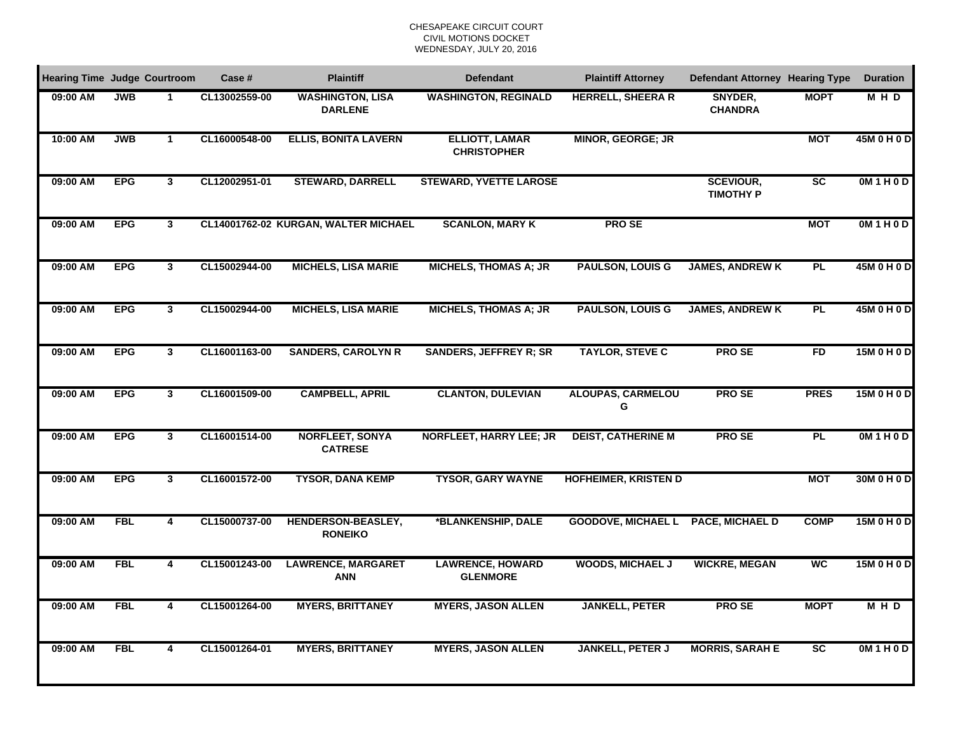| <b>Hearing Time Judge Courtroom</b> |            |                         | Case #        | <b>Plaintiff</b>                          | <b>Defendant</b>                            | <b>Plaintiff Attorney</b>          | <b>Defendant Attorney Hearing Type</b> |                          | <b>Duration</b> |
|-------------------------------------|------------|-------------------------|---------------|-------------------------------------------|---------------------------------------------|------------------------------------|----------------------------------------|--------------------------|-----------------|
| 09:00 AM                            | <b>JWB</b> | -1                      | CL13002559-00 | <b>WASHINGTON, LISA</b><br><b>DARLENE</b> | <b>WASHINGTON, REGINALD</b>                 | <b>HERRELL, SHEERA R</b>           | SNYDER,<br><b>CHANDRA</b>              | <b>MOPT</b>              | MHD             |
| 10:00 AM                            | <b>JWB</b> | $\mathbf{1}$            | CL16000548-00 | <b>ELLIS, BONITA LAVERN</b>               | <b>ELLIOTT, LAMAR</b><br><b>CHRISTOPHER</b> | <b>MINOR, GEORGE; JR</b>           |                                        | <b>MOT</b>               | 45M 0 H 0 D     |
| 09:00 AM                            | <b>EPG</b> | $\mathbf{3}$            | CL12002951-01 | <b>STEWARD, DARRELL</b>                   | <b>STEWARD, YVETTE LAROSE</b>               |                                    | <b>SCEVIOUR,</b><br><b>TIMOTHY P</b>   | $\overline{SC}$          | OM1H0D          |
| 09:00 AM                            | <b>EPG</b> | $\overline{\mathbf{3}}$ |               | CL14001762-02 KURGAN, WALTER MICHAEL      | <b>SCANLON, MARY K</b>                      | <b>PROSE</b>                       |                                        | <b>MOT</b>               | OM1H0D          |
| 09:00 AM                            | <b>EPG</b> | $\mathbf{3}$            | CL15002944-00 | <b>MICHELS, LISA MARIE</b>                | <b>MICHELS, THOMAS A; JR</b>                | <b>PAULSON, LOUIS G</b>            | <b>JAMES, ANDREW K</b>                 | <b>PL</b>                | 45M 0 H 0 D     |
| 09:00 AM                            | <b>EPG</b> | $\mathbf{3}$            | CL15002944-00 | <b>MICHELS, LISA MARIE</b>                | <b>MICHELS, THOMAS A; JR</b>                | <b>PAULSON, LOUIS G</b>            | <b>JAMES, ANDREW K</b>                 | PL                       | 45M 0 H 0 D     |
| 09:00 AM                            | <b>EPG</b> | $\mathbf{3}$            | CL16001163-00 | <b>SANDERS, CAROLYN R</b>                 | <b>SANDERS, JEFFREY R; SR</b>               | <b>TAYLOR, STEVE C</b>             | <b>PROSE</b>                           | <b>FD</b>                | 15M 0 H 0 D     |
| 09:00 AM                            | <b>EPG</b> | $\overline{\mathbf{3}}$ | CL16001509-00 | <b>CAMPBELL, APRIL</b>                    | <b>CLANTON, DULEVIAN</b>                    | <b>ALOUPAS, CARMELOU</b><br>G      | <b>PROSE</b>                           | <b>PRES</b>              | 15M 0 H 0 D     |
| 09:00 AM                            | <b>EPG</b> | $\overline{\mathbf{3}}$ | CL16001514-00 | <b>NORFLEET, SONYA</b><br><b>CATRESE</b>  | <b>NORFLEET, HARRY LEE; JR</b>              | <b>DEIST, CATHERINE M</b>          | <b>PROSE</b>                           | <b>PL</b>                | OM1H0D          |
| 09:00 AM                            | <b>EPG</b> | $\mathbf{3}$            | CL16001572-00 | <b>TYSOR, DANA KEMP</b>                   | <b>TYSOR, GARY WAYNE</b>                    | <b>HOFHEIMER, KRISTEN D</b>        |                                        | <b>MOT</b>               | 30M 0 H 0 D     |
| 09:00 AM                            | <b>FBL</b> | $\overline{\mathbf{4}}$ | CL15000737-00 | HENDERSON-BEASLEY,<br><b>RONEIKO</b>      | *BLANKENSHIP, DALE                          | GOODOVE, MICHAEL L PACE, MICHAEL D |                                        | <b>COMP</b>              | 15M 0 H 0 D     |
| 09:00 AM                            | <b>FBL</b> | 4                       | CL15001243-00 | <b>LAWRENCE, MARGARET</b><br><b>ANN</b>   | <b>LAWRENCE, HOWARD</b><br><b>GLENMORE</b>  | <b>WOODS, MICHAEL J</b>            | <b>WICKRE, MEGAN</b>                   | $\overline{\mathsf{wc}}$ | 15M 0 H 0 D     |
| 09:00 AM                            | <b>FBL</b> | 4                       | CL15001264-00 | <b>MYERS, BRITTANEY</b>                   | <b>MYERS, JASON ALLEN</b>                   | <b>JANKELL, PETER</b>              | <b>PROSE</b>                           | <b>MOPT</b>              | M H D           |
| 09:00 AM                            | <b>FBL</b> | 4                       | CL15001264-01 | <b>MYERS, BRITTANEY</b>                   | <b>MYERS, JASON ALLEN</b>                   | <b>JANKELL, PETER J</b>            | <b>MORRIS, SARAH E</b>                 | $\overline{\text{sc}}$   | OM1H0D          |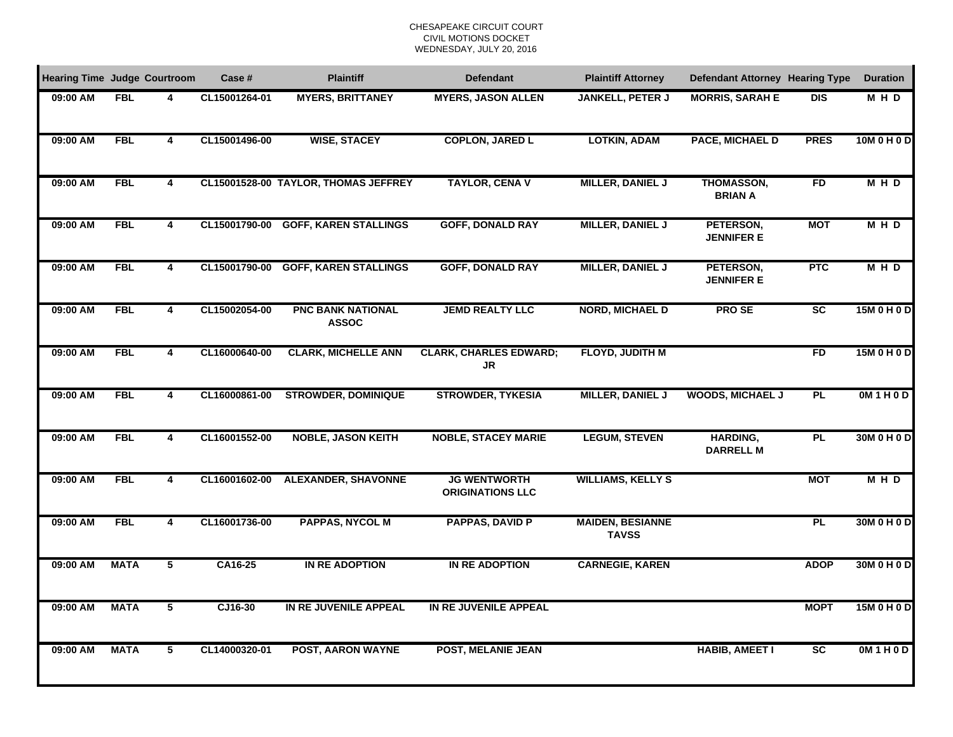| <b>Hearing Time Judge Courtroom</b> |             |                         | Case #        | <b>Plaintiff</b>                         | <b>Defendant</b>                               | <b>Plaintiff Attorney</b>               | <b>Defendant Attorney Hearing Type</b> |                 | <b>Duration</b> |
|-------------------------------------|-------------|-------------------------|---------------|------------------------------------------|------------------------------------------------|-----------------------------------------|----------------------------------------|-----------------|-----------------|
| 09:00 AM                            | <b>FBL</b>  | 4                       | CL15001264-01 | <b>MYERS, BRITTANEY</b>                  | <b>MYERS, JASON ALLEN</b>                      | <b>JANKELL, PETER J</b>                 | <b>MORRIS, SARAH E</b>                 | <b>DIS</b>      | MHD             |
| 09:00 AM                            | <b>FBL</b>  | $\overline{\mathbf{4}}$ | CL15001496-00 | <b>WISE, STACEY</b>                      | <b>COPLON, JARED L</b>                         | <b>LOTKIN, ADAM</b>                     | PACE, MICHAEL D                        | <b>PRES</b>     | 10M 0 H 0 D     |
| 09:00 AM                            | <b>FBL</b>  | 4                       |               | CL15001528-00 TAYLOR, THOMAS JEFFREY     | <b>TAYLOR, CENA V</b>                          | <b>MILLER, DANIEL J</b>                 | <b>THOMASSON,</b><br><b>BRIAN A</b>    | <b>FD</b>       | M H D           |
| 09:00 AM                            | <b>FBL</b>  | $\overline{4}$          | CL15001790-00 | <b>GOFF, KAREN STALLINGS</b>             | <b>GOFF, DONALD RAY</b>                        | <b>MILLER, DANIEL J</b>                 | PETERSON,<br><b>JENNIFER E</b>         | <b>MOT</b>      | <b>MHD</b>      |
| 09:00 AM                            | <b>FBL</b>  | 4                       | CL15001790-00 | <b>GOFF, KAREN STALLINGS</b>             | <b>GOFF, DONALD RAY</b>                        | MILLER, DANIEL J                        | PETERSON,<br><b>JENNIFER E</b>         | <b>PTC</b>      | M H D           |
| 09:00 AM                            | <b>FBL</b>  | 4                       | CL15002054-00 | <b>PNC BANK NATIONAL</b><br><b>ASSOC</b> | <b>JEMD REALTY LLC</b>                         | <b>NORD, MICHAEL D</b>                  | <b>PROSE</b>                           | <b>SC</b>       | 15M 0 H 0 D     |
| 09:00 AM                            | <b>FBL</b>  | 4                       | CL16000640-00 | <b>CLARK, MICHELLE ANN</b>               | <b>CLARK, CHARLES EDWARD;</b><br>JR            | FLOYD, JUDITH M                         |                                        | FD              | 15M 0 H 0 D     |
| 09:00 AM                            | <b>FBL</b>  | $\overline{4}$          | CL16000861-00 | <b>STROWDER, DOMINIQUE</b>               | <b>STROWDER, TYKESIA</b>                       | <b>MILLER, DANIEL J</b>                 | <b>WOODS, MICHAEL J</b>                | <b>PL</b>       | OM1H0D          |
| 09:00 AM                            | <b>FBL</b>  | $\overline{\mathbf{4}}$ | CL16001552-00 | <b>NOBLE, JASON KEITH</b>                | <b>NOBLE, STACEY MARIE</b>                     | <b>LEGUM, STEVEN</b>                    | <b>HARDING,</b><br><b>DARRELL M</b>    | <b>PL</b>       | 30M 0 H 0 D     |
| 09:00 AM                            | <b>FBL</b>  | $\overline{\mathbf{4}}$ | CL16001602-00 | <b>ALEXANDER, SHAVONNE</b>               | <b>JG WENTWORTH</b><br><b>ORIGINATIONS LLC</b> | <b>WILLIAMS, KELLY S</b>                |                                        | <b>MOT</b>      | M H D           |
| 09:00 AM                            | <b>FBL</b>  | $\overline{\mathbf{4}}$ | CL16001736-00 | <b>PAPPAS, NYCOL M</b>                   | <b>PAPPAS, DAVID P</b>                         | <b>MAIDEN, BESIANNE</b><br><b>TAVSS</b> |                                        | PL              | 30M 0 H 0 D     |
| 09:00 AM                            | <b>MATA</b> | 5                       | CA16-25       | IN RE ADOPTION                           | IN RE ADOPTION                                 | <b>CARNEGIE, KAREN</b>                  |                                        | <b>ADOP</b>     | 30M 0 H 0 D     |
| 09:00 AM                            | <b>MATA</b> | $5\phantom{.0}$         | CJ16-30       | IN RE JUVENILE APPEAL                    | IN RE JUVENILE APPEAL                          |                                         |                                        | <b>MOPT</b>     | 15M 0 H 0 D     |
| 09:00 AM                            | <b>MATA</b> | 5                       | CL14000320-01 | <b>POST, AARON WAYNE</b>                 | <b>POST, MELANIE JEAN</b>                      |                                         | <b>HABIB, AMEET I</b>                  | $\overline{sc}$ | OM1H0D          |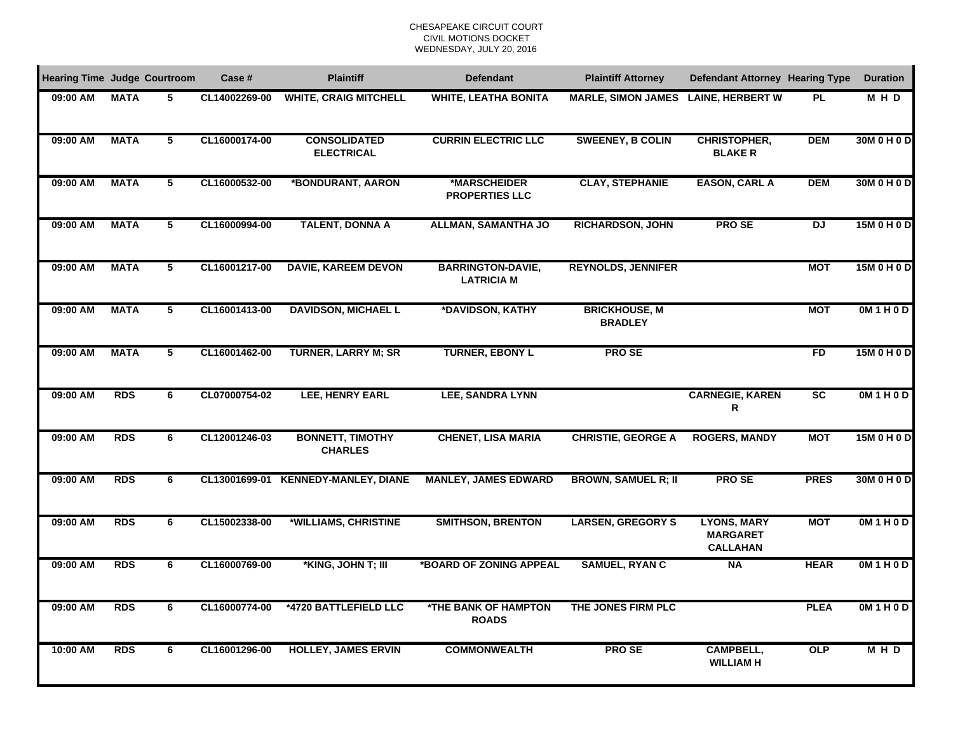| <b>Hearing Time Judge Courtroom</b> |             |                         | Case #        | <b>Plaintiff</b>                          | <b>Defendant</b>                              | <b>Plaintiff Attorney</b>              | <b>Defendant Attorney Hearing Type</b>                   |             | <b>Duration</b> |
|-------------------------------------|-------------|-------------------------|---------------|-------------------------------------------|-----------------------------------------------|----------------------------------------|----------------------------------------------------------|-------------|-----------------|
| 09:00 AM                            | <b>MATA</b> | 5                       | CL14002269-00 | <b>WHITE, CRAIG MITCHELL</b>              | <b>WHITE, LEATHA BONITA</b>                   | <b>MARLE, SIMON JAMES</b>              | <b>LAINE, HERBERT W</b>                                  | <b>PL</b>   | M H D           |
| 09:00 AM                            | <b>MATA</b> | $\overline{5}$          | CL16000174-00 | <b>CONSOLIDATED</b><br><b>ELECTRICAL</b>  | <b>CURRIN ELECTRIC LLC</b>                    | <b>SWEENEY, B COLIN</b>                | <b>CHRISTOPHER,</b><br><b>BLAKE R</b>                    | <b>DEM</b>  | 30M 0 H 0 D     |
| 09:00 AM                            | <b>MATA</b> | 5                       | CL16000532-00 | *BONDURANT, AARON                         | *MARSCHEIDER<br><b>PROPERTIES LLC</b>         | <b>CLAY, STEPHANIE</b>                 | <b>EASON, CARL A</b>                                     | <b>DEM</b>  | 30M 0 H 0 D     |
| 09:00 AM                            | <b>MATA</b> | 5                       | CL16000994-00 | <b>TALENT, DONNA A</b>                    | <b>ALLMAN, SAMANTHA JO</b>                    | <b>RICHARDSON, JOHN</b>                | <b>PROSE</b>                                             | DJ          | 15M 0 H 0 D     |
| 09:00 AM                            | <b>MATA</b> | $5\phantom{.0}$         | CL16001217-00 | <b>DAVIE, KAREEM DEVON</b>                | <b>BARRINGTON-DAVIE,</b><br><b>LATRICIA M</b> | <b>REYNOLDS, JENNIFER</b>              |                                                          | <b>MOT</b>  | 15M 0 H 0 D     |
| 09:00 AM                            | <b>MATA</b> | $\overline{\mathbf{5}}$ | CL16001413-00 | <b>DAVIDSON, MICHAEL L</b>                | *DAVIDSON, KATHY                              | <b>BRICKHOUSE, M</b><br><b>BRADLEY</b> |                                                          | <b>MOT</b>  | OM1H0D          |
| 09:00 AM                            | <b>MATA</b> | $\overline{5}$          | CL16001462-00 | <b>TURNER, LARRY M; SR</b>                | <b>TURNER, EBONY L</b>                        | <b>PROSE</b>                           |                                                          | FD          | 15M 0 H 0 D     |
| 09:00 AM                            | <b>RDS</b>  | 6                       | CL07000754-02 | <b>LEE, HENRY EARL</b>                    | <b>LEE, SANDRA LYNN</b>                       |                                        | <b>CARNEGIE, KAREN</b><br>R                              | <b>SC</b>   | OM1H0D          |
| 09:00 AM                            | <b>RDS</b>  | 6                       | CL12001246-03 | <b>BONNETT, TIMOTHY</b><br><b>CHARLES</b> | <b>CHENET, LISA MARIA</b>                     | <b>CHRISTIE, GEORGE A</b>              | <b>ROGERS, MANDY</b>                                     | <b>MOT</b>  | 15M 0 H 0 D     |
| 09:00 AM                            | <b>RDS</b>  | 6                       | CL13001699-01 | <b>KENNEDY-MANLEY, DIANE</b>              | <b>MANLEY, JAMES EDWARD</b>                   | <b>BROWN, SAMUEL R; II</b>             | <b>PROSE</b>                                             | <b>PRES</b> | 30M 0 H 0 D     |
| 09:00 AM                            | <b>RDS</b>  | 6                       | CL15002338-00 | *WILLIAMS, CHRISTINE                      | <b>SMITHSON, BRENTON</b>                      | <b>LARSEN, GREGORY S</b>               | <b>LYONS, MARY</b><br><b>MARGARET</b><br><b>CALLAHAN</b> | <b>MOT</b>  | OM1H0D          |
| 09:00 AM                            | <b>RDS</b>  | 6                       | CL16000769-00 | *KING, JOHN T; III                        | *BOARD OF ZONING APPEAL                       | <b>SAMUEL, RYAN C</b>                  | <b>NA</b>                                                | <b>HEAR</b> | OM1H0D          |
| 09:00 AM                            | <b>RDS</b>  | 6                       | CL16000774-00 | *4720 BATTLEFIELD LLC                     | *THE BANK OF HAMPTON<br><b>ROADS</b>          | THE JONES FIRM PLC                     |                                                          | <b>PLEA</b> | OM1H0D          |
| 10:00 AM                            | <b>RDS</b>  | 6                       | CL16001296-00 | <b>HOLLEY, JAMES ERVIN</b>                | <b>COMMONWEALTH</b>                           | <b>PROSE</b>                           | <b>CAMPBELL,</b><br><b>WILLIAM H</b>                     | OLP         | M H D           |